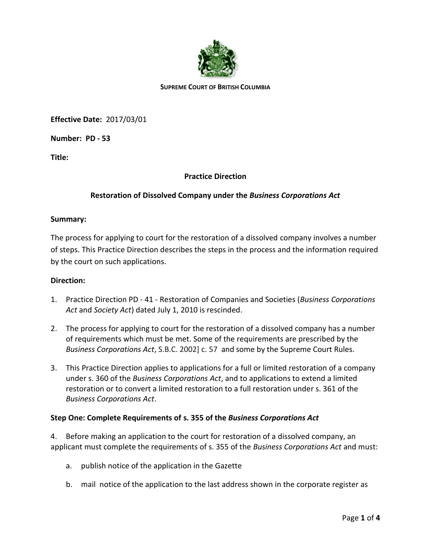

#### **SUPREME COURT OF BRITISH COLUMBIA**

**Effective Date:** 2017/03/01

**Number: PD - 53**

**Title:**

# **Practice Direction**

# **Restoration of Dissolved Company under the** *Business Corporations Act*

### **Summary:**

The process for applying to court for the restoration of a dissolved company involves a number of steps. This Practice Direction describes the steps in the process and the information required by the court on such applications.

### **Direction:**

- 1. Practice Direction PD 41 Restoration of Companies and Societies (*Business Corporations Act* and *Society Act*) dated July 1, 2010 is rescinded.
- 2. The process for applying to court for the restoration of a dissolved company has a number of requirements which must be met. Some of the requirements are prescribed by the *Business Corporations Act*, S.B.C. [2002\] c. 57](http://www.bclaws.ca/civix/content/complete/statreg/1944036832/02057/?xsl=/templates/browse.xsl) and some by the Supreme Court Rules.
- 3. This Practice Direction applies to applications for a full or limited restoration of a company under s. 360 of the *Business Corporations Act*, and to applications to extend a limited restoration or to convert a limited restoration to a full restoration under s. 361 of the *Business Corporations Act*.

### **Step One: Complete Requirements of s. 355 of the** *Business Corporations Act*

4. Before making an application to the court for restoration of a dissolved company, an applicant must complete the requirements of s. 355 of the *Business Corporations Act* and must:

- a. publish notice of the application in the Gazette
- b. mail notice of the application to the last address shown in the corporate register as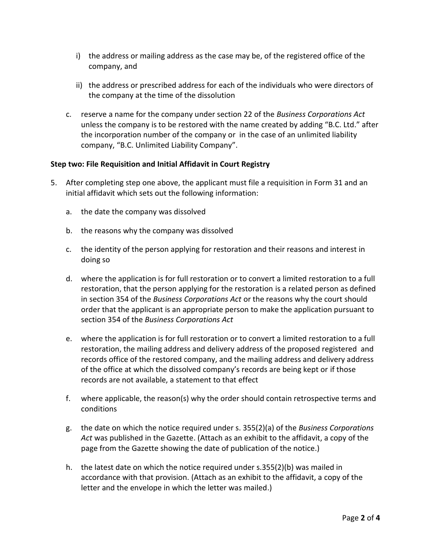- i) the address or mailing address as the case may be, of the registered office of the company, and
- ii) the address or prescribed address for each of the individuals who were directors of the company at the time of the dissolution
- c. reserve a name for the company under section 22 of the *Business Corporations Act* unless the company is to be restored with the name created by adding "B.C. Ltd." after the incorporation number of the company or in the case of an unlimited liability company, "B.C. Unlimited Liability Company".

# **Step two: File Requisition and Initial Affidavit in Court Registry**

- 5. After completing step one above, the applicant must file a requisition in Form 31 and an initial affidavit which sets out the following information:
	- a. the date the company was dissolved
	- b. the reasons why the company was dissolved
	- c. the identity of the person applying for restoration and their reasons and interest in doing so
	- d. where the application is for full restoration or to convert a limited restoration to a full restoration, that the person applying for the restoration is a related person as defined in section 354 of the *Business Corporations Act* or the reasons why the court should order that the applicant is an appropriate person to make the application pursuant to section 354 of the *Business Corporations Act*
	- e. where the application is for full restoration or to convert a limited restoration to a full restoration, the mailing address and delivery address of the proposed registered and records office of the restored company, and the mailing address and delivery address of the office at which the dissolved company's records are being kept or if those records are not available, a statement to that effect
	- f. where applicable, the reason(s) why the order should contain retrospective terms and conditions
	- g. the date on which the notice required under s. 355(2)(a) of the *Business Corporations Act* was published in the Gazette. (Attach as an exhibit to the affidavit, a copy of the page from the Gazette showing the date of publication of the notice.)
	- h. the latest date on which the notice required under s.355(2)(b) was mailed in accordance with that provision. (Attach as an exhibit to the affidavit, a copy of the letter and the envelope in which the letter was mailed.)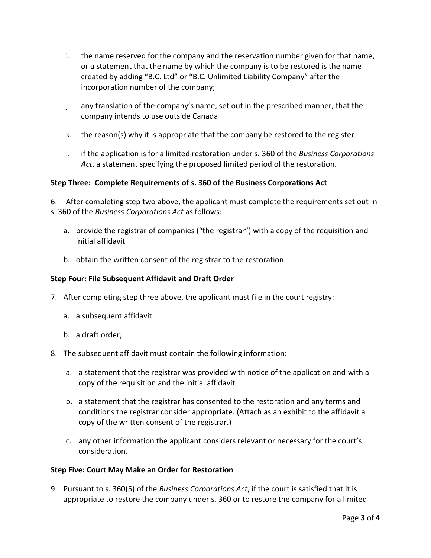- i. the name reserved for the company and the reservation number given for that name, or a statement that the name by which the company is to be restored is the name created by adding "B.C. Ltd" or "B.C. Unlimited Liability Company" after the incorporation number of the company;
- j. any translation of the company's name, set out in the prescribed manner, that the company intends to use outside Canada
- k. the reason(s) why it is appropriate that the company be restored to the register
- l. if the application is for a limited restoration under s. 360 of the *Business Corporations Act*, a statement specifying the proposed limited period of the restoration.

### **Step Three: Complete Requirements of s. 360 of the Business Corporations Act**

6. After completing step two above, the applicant must complete the requirements set out in s. 360 of the *Business Corporations Act* as follows:

- a. provide the registrar of companies ("the registrar") with a copy of the requisition and initial affidavit
- b. obtain the written consent of the registrar to the restoration.

### **Step Four: File Subsequent Affidavit and Draft Order**

- 7. After completing step three above, the applicant must file in the court registry:
	- a. a subsequent affidavit
	- b. a draft order;
- 8. The subsequent affidavit must contain the following information:
	- a. a statement that the registrar was provided with notice of the application and with a copy of the requisition and the initial affidavit
	- b. a statement that the registrar has consented to the restoration and any terms and conditions the registrar consider appropriate. (Attach as an exhibit to the affidavit a copy of the written consent of the registrar.)
	- c. any other information the applicant considers relevant or necessary for the court's consideration.

#### **Step Five: Court May Make an Order for Restoration**

9. Pursuant to s. 360(5) of the *Business Corporations Act*, if the court is satisfied that it is appropriate to restore the company under s. 360 or to restore the company for a limited